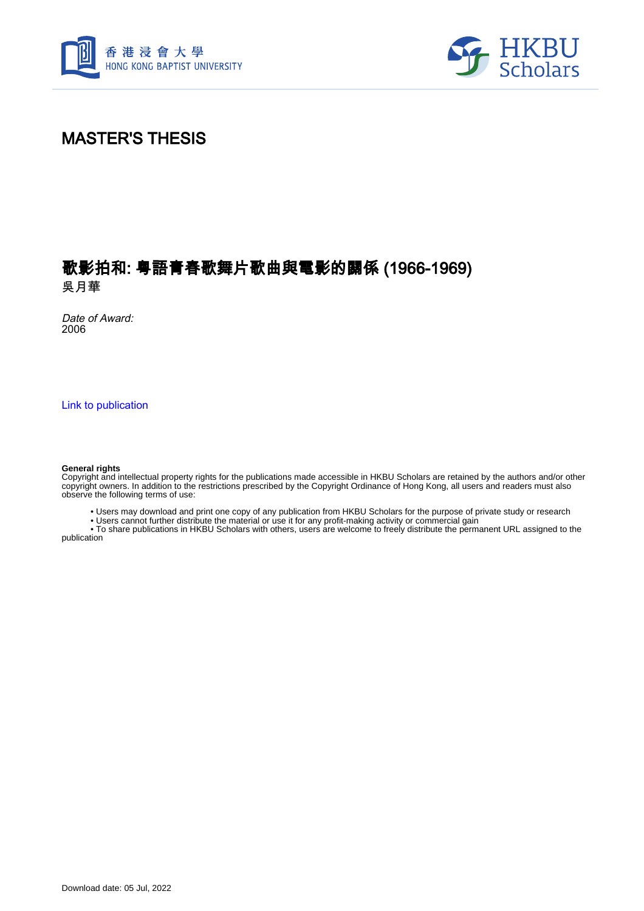



### MASTER'S THESIS

### 歌影拍和: 粤語青春歌舞片歌曲與電影的關係 (1966-1969) 吳月華

Date of Award: 2006

[Link to publication](https://scholars.hkbu.edu.hk/en/studentTheses/a094d33c-aabf-4e43-9f67-437d41589c2c)

#### **General rights**

Copyright and intellectual property rights for the publications made accessible in HKBU Scholars are retained by the authors and/or other copyright owners. In addition to the restrictions prescribed by the Copyright Ordinance of Hong Kong, all users and readers must also observe the following terms of use:

• Users may download and print one copy of any publication from HKBU Scholars for the purpose of private study or research

• Users cannot further distribute the material or use it for any profit-making activity or commercial gain

 • To share publications in HKBU Scholars with others, users are welcome to freely distribute the permanent URL assigned to the publication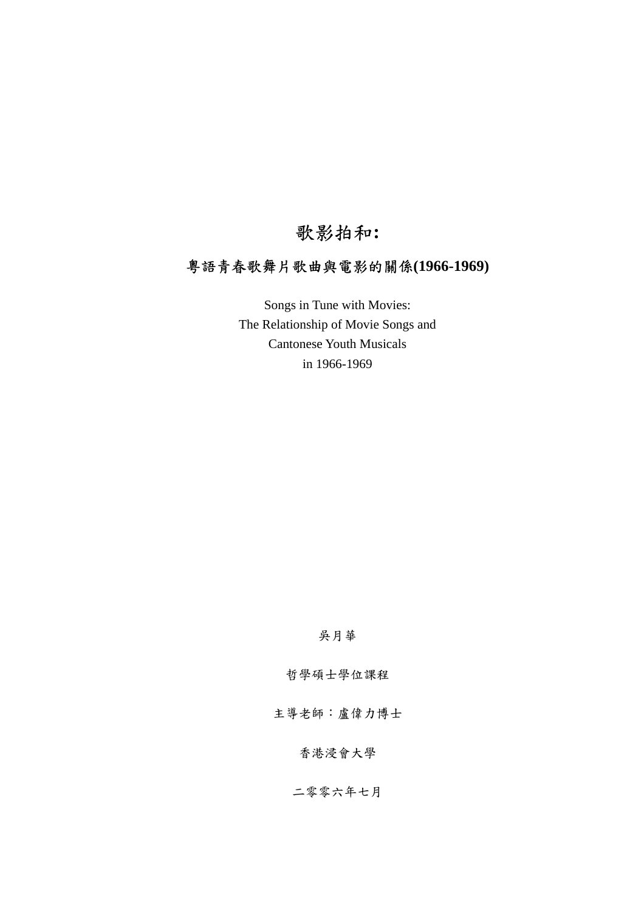## 歌影拍和**:**

### 粵語青春歌舞片歌曲與電影的關係**(1966-1969)**

Songs in Tune with Movies: The Relationship of Movie Songs and Cantonese Youth Musicals in 1966-1969

#### 吳月華

哲學碩士學位課程

主導老師:盧偉力博士

### 香港浸會大學

二零零六年七月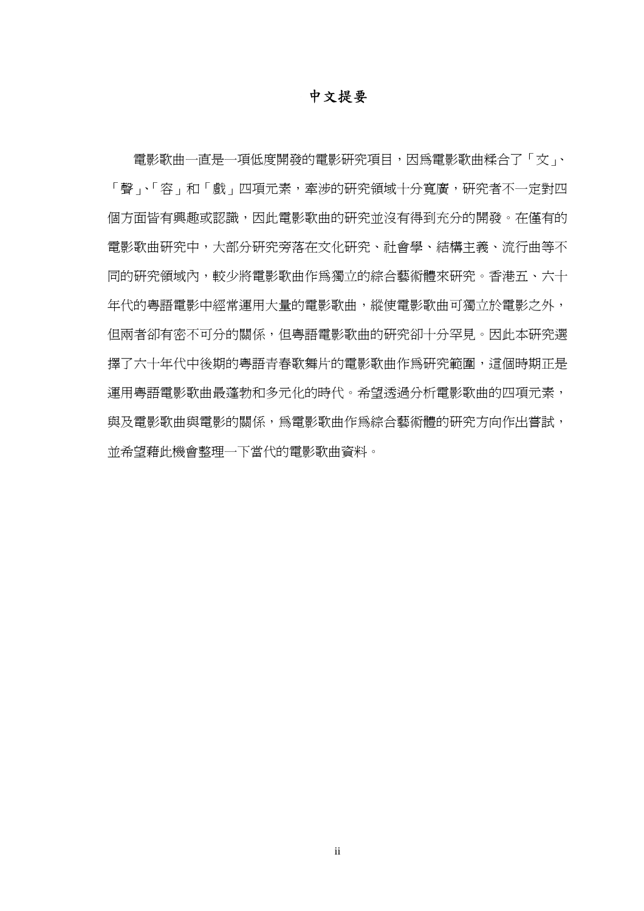### 中文提要

電影歌曲一直是一項低度開發的電影研究項目,因為電影歌曲糅合了「文」、 「聲」、「容」和「戲」四項元素,牽涉的研究領域十分寬廣,研究者不一定對四 個方面皆有興趣或認識,因此電影歌曲的研究並沒有得到充分的開發。在僅有的 電影歌曲研究中,大部分研究旁落在文化研究、社會學、結構主義、流行曲等不 同的研究領域內,較少將電影歌曲作為獨立的綜合藝術體來研究。香港五、六十 年代的粵語電影中經常運用大量的電影歌曲,縱使電影歌曲可獨立於電影之外, 但兩者卻有密不可分的關係,但粵語電影歌曲的研究卻十分罕見。因此本研究選 擇了六十年代中後期的粵語青春歌舞片的電影歌曲作為研究範圍,這個時期正是 運用粵語電影歌曲最蓬勃和多元化的時代。希望透過分析電影歌曲的四項元素, 與及電影歌曲與電影的關係,為電影歌曲作為綜合藝術體的研究方向作出嘗試, 並希望藉此機會整理一下當代的電影歌曲資料。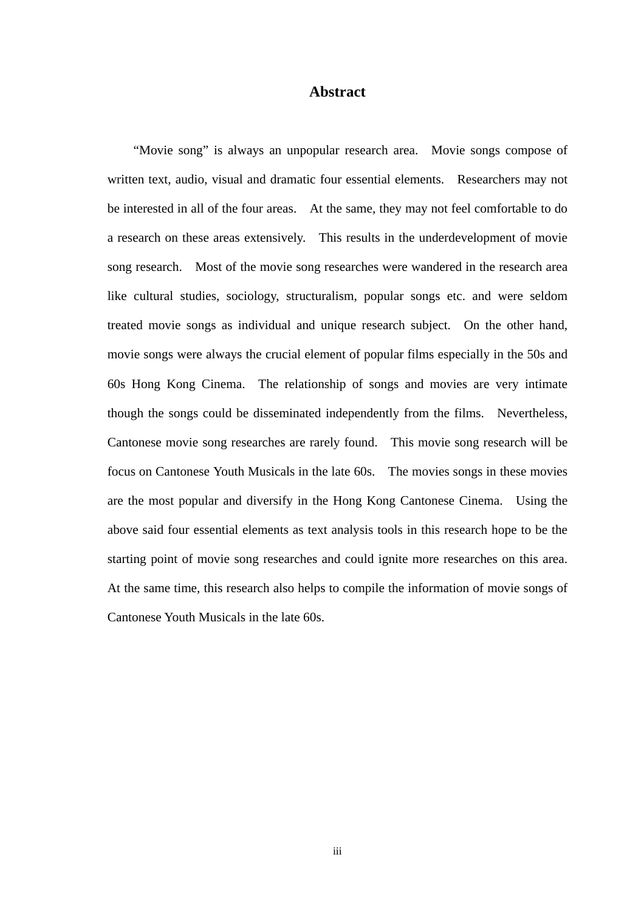#### **Abstract**

"Movie song" is always an unpopular research area. Movie songs compose of written text, audio, visual and dramatic four essential elements. Researchers may not be interested in all of the four areas. At the same, they may not feel comfortable to do a research on these areas extensively. This results in the underdevelopment of movie song research. Most of the movie song researches were wandered in the research area like cultural studies, sociology, structuralism, popular songs etc. and were seldom treated movie songs as individual and unique research subject. On the other hand, movie songs were always the crucial element of popular films especially in the 50s and 60s Hong Kong Cinema. The relationship of songs and movies are very intimate though the songs could be disseminated independently from the films. Nevertheless, Cantonese movie song researches are rarely found. This movie song research will be focus on Cantonese Youth Musicals in the late 60s. The movies songs in these movies are the most popular and diversify in the Hong Kong Cantonese Cinema. Using the above said four essential elements as text analysis tools in this research hope to be the starting point of movie song researches and could ignite more researches on this area. At the same time, this research also helps to compile the information of movie songs of Cantonese Youth Musicals in the late 60s.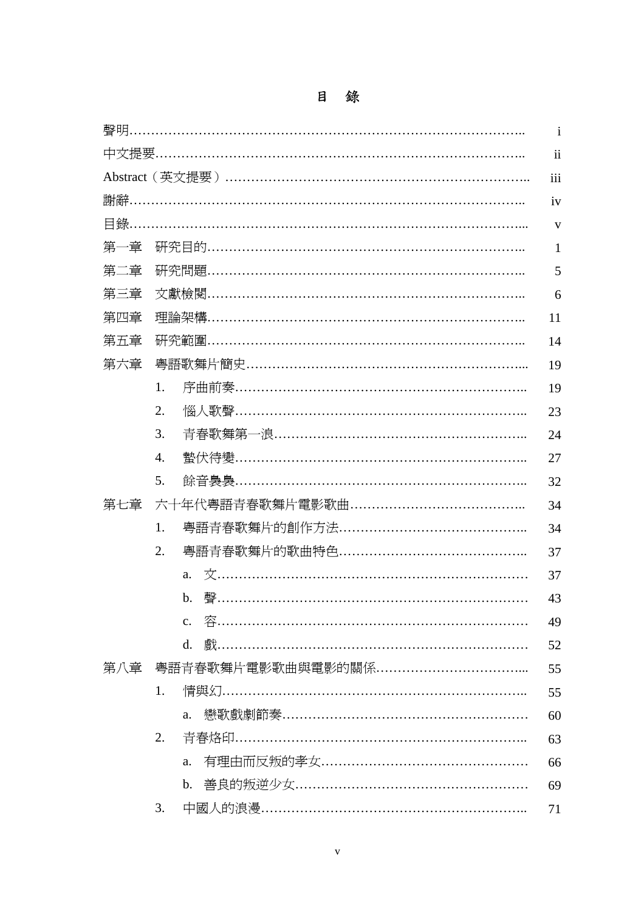# 目 錄

|     |    |                                  | $\mathbf{i}$             |  |
|-----|----|----------------------------------|--------------------------|--|
|     |    |                                  | $\overline{\mathbf{ii}}$ |  |
|     |    |                                  | iii                      |  |
|     |    |                                  | iv                       |  |
|     |    | 目錄……………………………………………………………………………… | $\mathbf{V}$             |  |
| 第一章 |    |                                  | $\mathbf{1}$             |  |
| 第二章 |    |                                  |                          |  |
| 第三章 |    |                                  | 6                        |  |
| 第四章 |    |                                  | 11                       |  |
| 第五章 |    |                                  | 14                       |  |
| 第六章 |    |                                  | 19                       |  |
|     | 1. |                                  | 19                       |  |
|     | 2. |                                  | 23                       |  |
|     | 3. |                                  | 24                       |  |
|     | 4. |                                  | 27                       |  |
|     | 5. |                                  | 32                       |  |
| 第七章 |    |                                  | 34                       |  |
|     | 1. |                                  | 34                       |  |
|     | 2. |                                  | 37                       |  |
|     |    | a.                               | 37                       |  |
|     |    | b.                               | 43                       |  |
|     |    |                                  | 49                       |  |
|     |    | $\mathbf{d}$ .                   | 52                       |  |
| 第八章 |    |                                  | 55                       |  |
|     | 1. |                                  | 55                       |  |
|     |    | a.                               | 60                       |  |
|     | 2. |                                  | 63                       |  |
|     |    | a.                               | 66                       |  |
|     |    | $\mathbf{b}$ .                   | 69                       |  |
|     | 3. |                                  | 71                       |  |